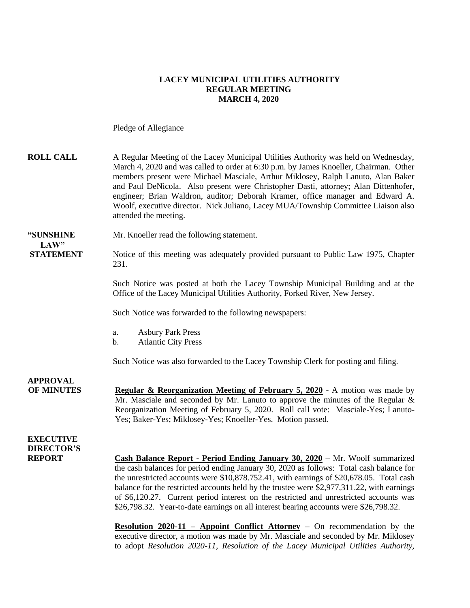### **LACEY MUNICIPAL UTILITIES AUTHORITY REGULAR MEETING MARCH 4, 2020**

Pledge of Allegiance

| <b>ROLL CALL</b>                                       | A Regular Meeting of the Lacey Municipal Utilities Authority was held on Wednesday,<br>March 4, 2020 and was called to order at 6:30 p.m. by James Knoeller, Chairman. Other<br>members present were Michael Masciale, Arthur Miklosey, Ralph Lanuto, Alan Baker<br>and Paul DeNicola. Also present were Christopher Dasti, attorney; Alan Dittenhofer,<br>engineer; Brian Waldron, auditor; Deborah Kramer, office manager and Edward A.<br>Woolf, executive director. Nick Juliano, Lacey MUA/Township Committee Liaison also<br>attended the meeting. |
|--------------------------------------------------------|----------------------------------------------------------------------------------------------------------------------------------------------------------------------------------------------------------------------------------------------------------------------------------------------------------------------------------------------------------------------------------------------------------------------------------------------------------------------------------------------------------------------------------------------------------|
| "SUNSHINE<br>LAW"                                      | Mr. Knoeller read the following statement.                                                                                                                                                                                                                                                                                                                                                                                                                                                                                                               |
| <b>STATEMENT</b>                                       | Notice of this meeting was adequately provided pursuant to Public Law 1975, Chapter<br>231.                                                                                                                                                                                                                                                                                                                                                                                                                                                              |
|                                                        | Such Notice was posted at both the Lacey Township Municipal Building and at the<br>Office of the Lacey Municipal Utilities Authority, Forked River, New Jersey.                                                                                                                                                                                                                                                                                                                                                                                          |
|                                                        | Such Notice was forwarded to the following newspapers:                                                                                                                                                                                                                                                                                                                                                                                                                                                                                                   |
|                                                        | <b>Asbury Park Press</b><br>a.<br><b>Atlantic City Press</b><br>b.                                                                                                                                                                                                                                                                                                                                                                                                                                                                                       |
|                                                        | Such Notice was also forwarded to the Lacey Township Clerk for posting and filing.                                                                                                                                                                                                                                                                                                                                                                                                                                                                       |
| <b>APPROVAL</b><br><b>OF MINUTES</b>                   | <b>Regular &amp; Reorganization Meeting of February 5, 2020</b> - A motion was made by<br>Mr. Masciale and seconded by Mr. Lanuto to approve the minutes of the Regular $\&$<br>Reorganization Meeting of February 5, 2020. Roll call vote: Masciale-Yes; Lanuto-<br>Yes; Baker-Yes; Miklosey-Yes; Knoeller-Yes. Motion passed.                                                                                                                                                                                                                          |
| <b>EXECUTIVE</b><br><b>DIRECTOR'S</b><br><b>REPORT</b> | Cash Balance Report - Period Ending January 30, 2020 – Mr. Woolf summarized<br>the cash balances for period ending January 30, 2020 as follows: Total cash balance for<br>the unrestricted accounts were \$10,878.752.41, with earnings of \$20,678.05. Total cash<br>balance for the restricted accounts held by the trustee were \$2,977,311.22, with earnings<br>of \$6,120.27. Current period interest on the restricted and unrestricted accounts was<br>\$26,798.32. Year-to-date earnings on all interest bearing accounts were \$26,798.32.      |
|                                                        | <b>Resolution 2020-11 - Appoint Conflict Attorney - On recommendation by the</b><br>executive director, a motion was made by Mr. Masciale and seconded by Mr. Miklosey<br>to adopt Resolution 2020-11, Resolution of the Lacey Municipal Utilities Authority,                                                                                                                                                                                                                                                                                            |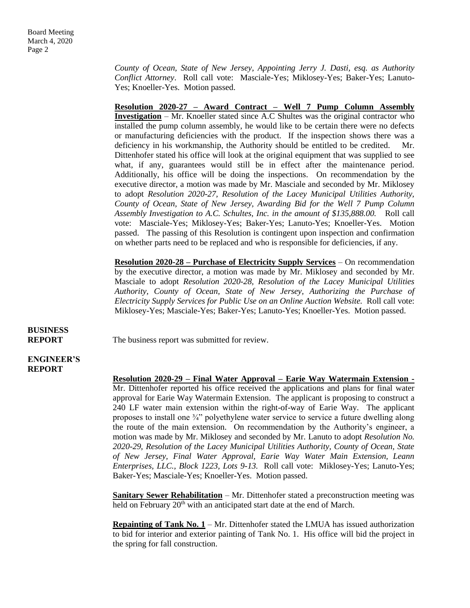*County of Ocean, State of New Jersey, Appointing Jerry J. Dasti, esq. as Authority Conflict Attorney*. Roll call vote: Masciale-Yes; Miklosey-Yes; Baker-Yes; Lanuto-Yes; Knoeller-Yes. Motion passed.

**Resolution 2020-27 – Award Contract – Well 7 Pump Column Assembly Investigation** – Mr. Knoeller stated since A.C Shultes was the original contractor who installed the pump column assembly, he would like to be certain there were no defects or manufacturing deficiencies with the product. If the inspection shows there was a deficiency in his workmanship, the Authority should be entitled to be credited. Mr. Dittenhofer stated his office will look at the original equipment that was supplied to see what, if any, guarantees would still be in effect after the maintenance period. Additionally, his office will be doing the inspections. On recommendation by the executive director, a motion was made by Mr. Masciale and seconded by Mr. Miklosey to adopt *Resolution 2020-27, Resolution of the Lacey Municipal Utilities Authority, County of Ocean, State of New Jersey, Awarding Bid for the Well 7 Pump Column Assembly Investigation to A.C. Schultes, Inc. in the amount of \$135,888.00.* Roll call vote: Masciale-Yes; Miklosey-Yes; Baker-Yes; Lanuto-Yes; Knoeller-Yes. Motion passed. The passing of this Resolution is contingent upon inspection and confirmation on whether parts need to be replaced and who is responsible for deficiencies, if any.

**Resolution 2020-28 – Purchase of Electricity Supply Services** – On recommendation by the executive director, a motion was made by Mr. Miklosey and seconded by Mr. Masciale to adopt *Resolution 2020-28, Resolution of the Lacey Municipal Utilities Authority, County of Ocean, State of New Jersey, Authorizing the Purchase of Electricity Supply Services for Public Use on an Online Auction Website.* Roll call vote: Miklosey-Yes; Masciale-Yes; Baker-Yes; Lanuto-Yes; Knoeller-Yes. Motion passed.

# **BUSINESS**

**REPORT** The business report was submitted for review.

#### **ENGINEER'S REPORT**

**Resolution 2020-29 – Final Water Approval – Earie Way Watermain Extension -** Mr. Dittenhofer reported his office received the applications and plans for final water approval for Earie Way Watermain Extension. The applicant is proposing to construct a 240 LF water main extension within the right-of-way of Earie Way. The applicant proposes to install one  $\frac{3}{4}$ " polyethylene water service to service a future dwelling along the route of the main extension. On recommendation by the Authority's engineer, a motion was made by Mr. Miklosey and seconded by Mr. Lanuto to adopt *Resolution No. 2020-29, Resolution of the Lacey Municipal Utilities Authority, County of Ocean, State of New Jersey, Final Water Approval, Earie Way Water Main Extension, Leann Enterprises, LLC., Block 1223, Lots 9-13.* Roll call vote: Miklosey-Yes; Lanuto-Yes; Baker-Yes; Masciale-Yes; Knoeller-Yes. Motion passed.

**Sanitary Sewer Rehabilitation** – Mr. Dittenhofer stated a preconstruction meeting was held on February 20<sup>th</sup> with an anticipated start date at the end of March.

**Repainting of Tank No.**  $1 - Mr$ **. Dittenhofer stated the LMUA has issued authorization** to bid for interior and exterior painting of Tank No. 1. His office will bid the project in the spring for fall construction.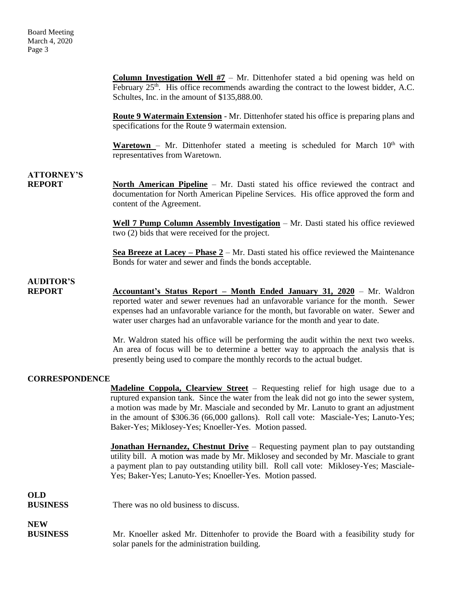**Column Investigation Well #7** – Mr. Dittenhofer stated a bid opening was held on February  $25<sup>th</sup>$ . His office recommends awarding the contract to the lowest bidder, A.C. Schultes, Inc. in the amount of \$135,888.00.

**Route 9 Watermain Extension** - Mr. Dittenhofer stated his office is preparing plans and specifications for the Route 9 watermain extension.

Waretown – Mr. Dittenhofer stated a meeting is scheduled for March 10<sup>th</sup> with representatives from Waretown.

# **ATTORNEY'S**

**REPORT North American Pipeline** – Mr. Dasti stated his office reviewed the contract and documentation for North American Pipeline Services. His office approved the form and content of the Agreement.

> **Well 7 Pump Column Assembly Investigation** – Mr. Dasti stated his office reviewed two (2) bids that were received for the project.

> **Sea Breeze at Lacey – Phase 2** – Mr. Dasti stated his office reviewed the Maintenance Bonds for water and sewer and finds the bonds acceptable.

# **AUDITOR'S**

**REPORT** Accountant's Status Report – Month Ended January 31, 2020 – Mr. Waldron reported water and sewer revenues had an unfavorable variance for the month. Sewer expenses had an unfavorable variance for the month, but favorable on water. Sewer and water user charges had an unfavorable variance for the month and year to date.

> Mr. Waldron stated his office will be performing the audit within the next two weeks. An area of focus will be to determine a better way to approach the analysis that is presently being used to compare the monthly records to the actual budget.

### **CORRESPONDENCE**

**Madeline Coppola, Clearview Street** – Requesting relief for high usage due to a ruptured expansion tank. Since the water from the leak did not go into the sewer system, a motion was made by Mr. Masciale and seconded by Mr. Lanuto to grant an adjustment in the amount of \$306.36 (66,000 gallons). Roll call vote: Masciale-Yes; Lanuto-Yes; Baker-Yes; Miklosey-Yes; Knoeller-Yes. Motion passed.

**Jonathan Hernandez, Chestnut Drive** – Requesting payment plan to pay outstanding utility bill. A motion was made by Mr. Miklosey and seconded by Mr. Masciale to grant a payment plan to pay outstanding utility bill. Roll call vote: Miklosey-Yes; Masciale-Yes; Baker-Yes; Lanuto-Yes; Knoeller-Yes. Motion passed.

## **OLD BUSINESS** There was no old business to discuss. **NEW BUSINESS** Mr. Knoeller asked Mr. Dittenhofer to provide the Board with a feasibility study for solar panels for the administration building.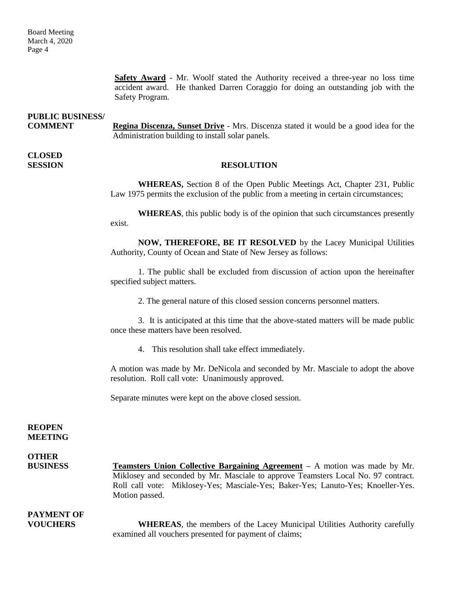**Safety Award** - Mr. Woolf stated the Authority received a three-year no loss time accident award. He thanked Darren Coraggio for doing an outstanding job with the Safety Program.

**PUBLIC BUSINESS/ COMMENT Regina Discenza, Sunset Drive** - Mrs. Discenza stated it would be a good idea for the Administration building to install solar panels.

**CLOSED** 

### **SESSION RESOLUTION**

**WHEREAS,** Section 8 of the Open Public Meetings Act, Chapter 231, Public Law 1975 permits the exclusion of the public from a meeting in certain circumstances;

**WHEREAS**, this public body is of the opinion that such circumstances presently exist.

**NOW, THEREFORE, BE IT RESOLVED** by the Lacey Municipal Utilities Authority, County of Ocean and State of New Jersey as follows:

1. The public shall be excluded from discussion of action upon the hereinafter specified subject matters.

2. The general nature of this closed session concerns personnel matters.

3. It is anticipated at this time that the above-stated matters will be made public once these matters have been resolved.

4. This resolution shall take effect immediately.

A motion was made by Mr. DeNicola and seconded by Mr. Masciale to adopt the above resolution. Roll call vote: Unanimously approved.

Separate minutes were kept on the above closed session.

#### **REOPEN MEETING**

**OTHER BUSINESS Teamsters Union Collective Bargaining Agreement –** A motion was made by Mr. Miklosey and seconded by Mr. Masciale to approve Teamsters Local No. 97 contract. Roll call vote: Miklosey-Yes; Masciale-Yes; Baker-Yes; Lanuto-Yes; Knoeller-Yes. Motion passed.

# **PAYMENT OF**

**VOUCHERS WHEREAS**, the members of the Lacey Municipal Utilities Authority carefully examined all vouchers presented for payment of claims;